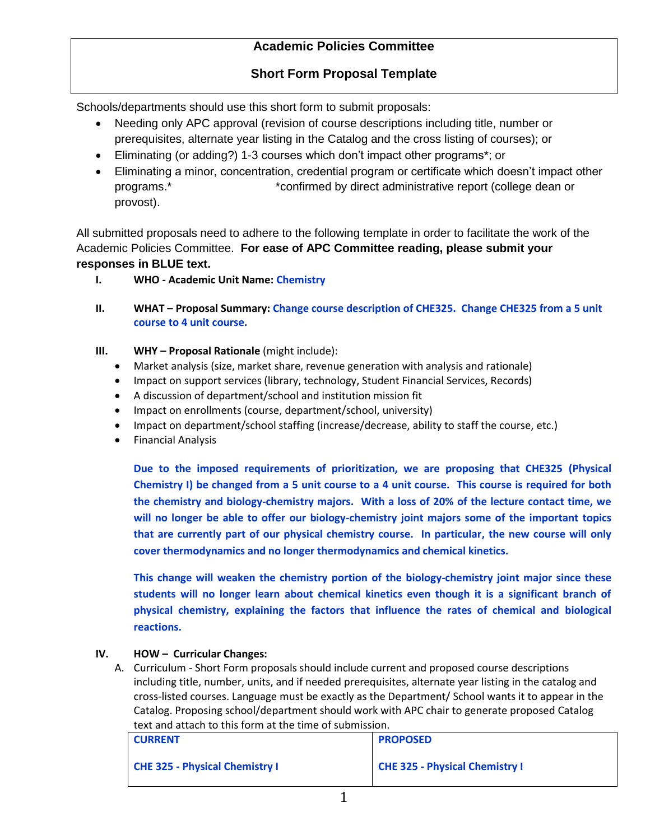## **Short Form Proposal Template**

Schools/departments should use this short form to submit proposals:

- Needing only APC approval (revision of course descriptions including title, number or prerequisites, alternate year listing in the Catalog and the cross listing of courses); or
- Eliminating (or adding?) 1-3 courses which don't impact other programs\*; or
- Eliminating a minor, concentration, credential program or certificate which doesn't impact other programs.\* \*confirmed by direct administrative report (college dean or provost).

All submitted proposals need to adhere to the following template in order to facilitate the work of the Academic Policies Committee. **For ease of APC Committee reading, please submit your responses in BLUE text.** 

- **I. WHO - Academic Unit Name: Chemistry**
- **II. WHAT – Proposal Summary: Change course description of CHE325. Change CHE325 from a 5 unit course to 4 unit course.**
- **III. WHY – Proposal Rationale** (might include):
	- Market analysis (size, market share, revenue generation with analysis and rationale)
	- Impact on support services (library, technology, Student Financial Services, Records)
	- A discussion of department/school and institution mission fit
	- Impact on enrollments (course, department/school, university)
	- Impact on department/school staffing (increase/decrease, ability to staff the course, etc.)
	- **•** Financial Analysis

**Due to the imposed requirements of prioritization, we are proposing that CHE325 (Physical Chemistry I) be changed from a 5 unit course to a 4 unit course. This course is required for both the chemistry and biology-chemistry majors. With a loss of 20% of the lecture contact time, we will no longer be able to offer our biology-chemistry joint majors some of the important topics that are currently part of our physical chemistry course. In particular, the new course will only cover thermodynamics and no longer thermodynamics and chemical kinetics.** 

**This change will weaken the chemistry portion of the biology-chemistry joint major since these students will no longer learn about chemical kinetics even though it is a significant branch of physical chemistry, explaining the factors that influence the rates of chemical and biological reactions.** 

### **IV. HOW – Curricular Changes:**

| <b>CURRENT</b>                        | <b>PROPOSED</b>                       |
|---------------------------------------|---------------------------------------|
| <b>CHE 325 - Physical Chemistry I</b> | <b>CHE 325 - Physical Chemistry I</b> |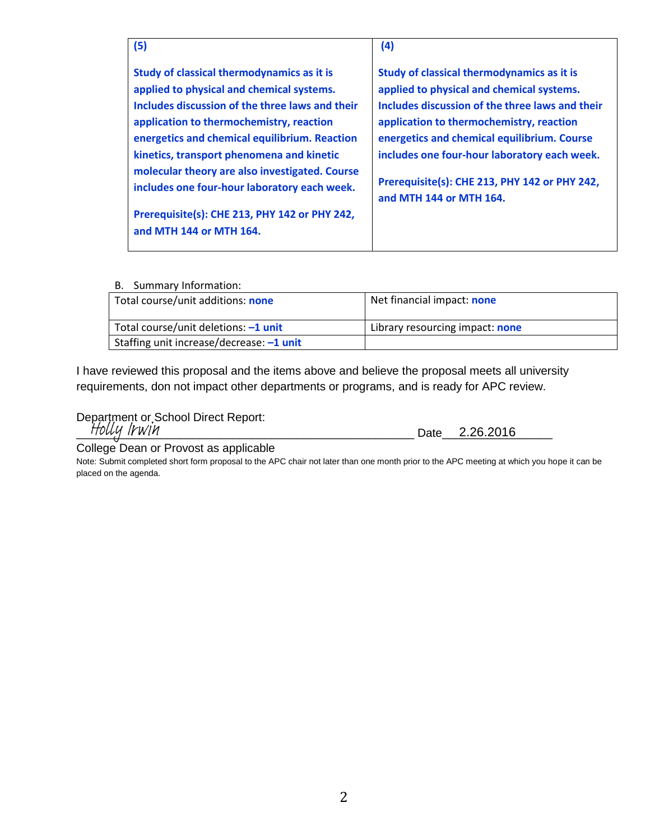| (5)                                                                                                                                                                                                                                                                                                                                                                                                                                                                | (4)                                                                                                                                                                                                                                                                                                                                                               |
|--------------------------------------------------------------------------------------------------------------------------------------------------------------------------------------------------------------------------------------------------------------------------------------------------------------------------------------------------------------------------------------------------------------------------------------------------------------------|-------------------------------------------------------------------------------------------------------------------------------------------------------------------------------------------------------------------------------------------------------------------------------------------------------------------------------------------------------------------|
| Study of classical thermodynamics as it is<br>applied to physical and chemical systems.<br>Includes discussion of the three laws and their<br>application to thermochemistry, reaction<br>energetics and chemical equilibrium. Reaction<br>kinetics, transport phenomena and kinetic<br>molecular theory are also investigated. Course<br>includes one four-hour laboratory each week.<br>Prerequisite(s): CHE 213, PHY 142 or PHY 242,<br>and MTH 144 or MTH 164. | Study of classical thermodynamics as it is<br>applied to physical and chemical systems.<br>Includes discussion of the three laws and their<br>application to thermochemistry, reaction<br>energetics and chemical equilibrium. Course<br>includes one four-hour laboratory each week.<br>Prerequisite(s): CHE 213, PHY 142 or PHY 242,<br>and MTH 144 or MTH 164. |

| Total course/unit additions: none        | Net financial impact: none      |
|------------------------------------------|---------------------------------|
| Total course/unit deletions: -1 unit     | Library resourcing impact: none |
| Staffing unit increase/decrease: -1 unit |                                 |

I have reviewed this proposal and the items above and believe the proposal meets all university requirements, don not impact other departments or programs, and is ready for APC review.

Department or School Direct Report: Holly Irwin

\_\_\_\_\_\_\_\_\_\_\_\_\_\_\_\_\_\_\_\_\_\_\_\_\_\_\_\_\_\_\_\_\_\_\_\_\_\_\_\_\_\_\_\_\_\_\_\_\_\_\_\_ Date\_\_\_\_\_\_\_\_\_\_\_\_\_\_\_\_\_ 2.26.2016

College Dean or Provost as applicable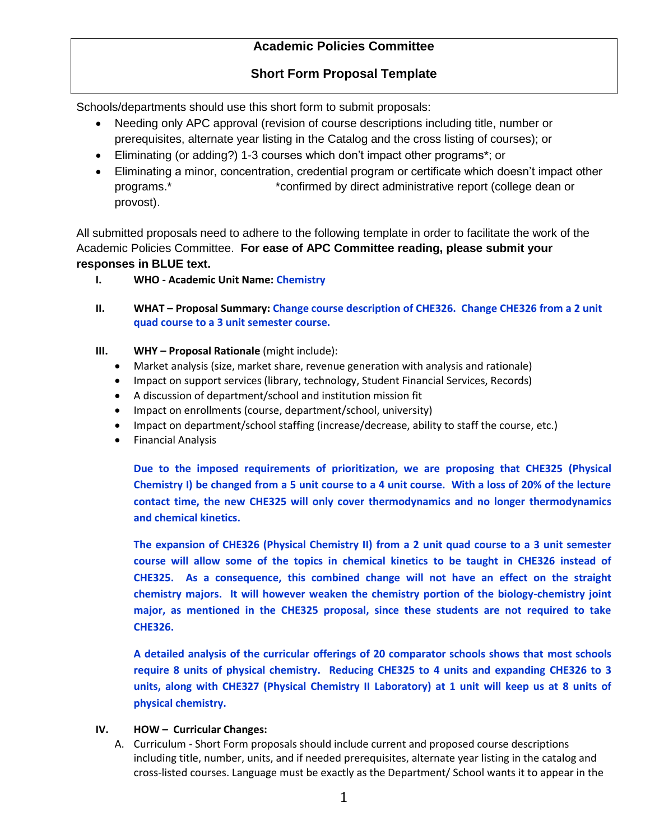## **Short Form Proposal Template**

Schools/departments should use this short form to submit proposals:

- Needing only APC approval (revision of course descriptions including title, number or prerequisites, alternate year listing in the Catalog and the cross listing of courses); or
- Eliminating (or adding?) 1-3 courses which don't impact other programs\*; or
- Eliminating a minor, concentration, credential program or certificate which doesn't impact other programs.\* \*confirmed by direct administrative report (college dean or provost).

All submitted proposals need to adhere to the following template in order to facilitate the work of the Academic Policies Committee. **For ease of APC Committee reading, please submit your responses in BLUE text.** 

- **I. WHO - Academic Unit Name: Chemistry**
- **II. WHAT – Proposal Summary: Change course description of CHE326. Change CHE326 from a 2 unit quad course to a 3 unit semester course.**
- **III. WHY – Proposal Rationale** (might include):
	- Market analysis (size, market share, revenue generation with analysis and rationale)
	- Impact on support services (library, technology, Student Financial Services, Records)
	- A discussion of department/school and institution mission fit
	- Impact on enrollments (course, department/school, university)
	- Impact on department/school staffing (increase/decrease, ability to staff the course, etc.)
	- Financial Analysis

**Due to the imposed requirements of prioritization, we are proposing that CHE325 (Physical Chemistry I) be changed from a 5 unit course to a 4 unit course. With a loss of 20% of the lecture contact time, the new CHE325 will only cover thermodynamics and no longer thermodynamics and chemical kinetics.** 

**The expansion of CHE326 (Physical Chemistry II) from a 2 unit quad course to a 3 unit semester course will allow some of the topics in chemical kinetics to be taught in CHE326 instead of CHE325. As a consequence, this combined change will not have an effect on the straight chemistry majors. It will however weaken the chemistry portion of the biology-chemistry joint major, as mentioned in the CHE325 proposal, since these students are not required to take CHE326.**

**A detailed analysis of the curricular offerings of 20 comparator schools shows that most schools require 8 units of physical chemistry. Reducing CHE325 to 4 units and expanding CHE326 to 3 units, along with CHE327 (Physical Chemistry II Laboratory) at 1 unit will keep us at 8 units of physical chemistry.**

#### **IV. HOW – Curricular Changes:**

A. Curriculum - Short Form proposals should include current and proposed course descriptions including title, number, units, and if needed prerequisites, alternate year listing in the catalog and cross-listed courses. Language must be exactly as the Department/ School wants it to appear in the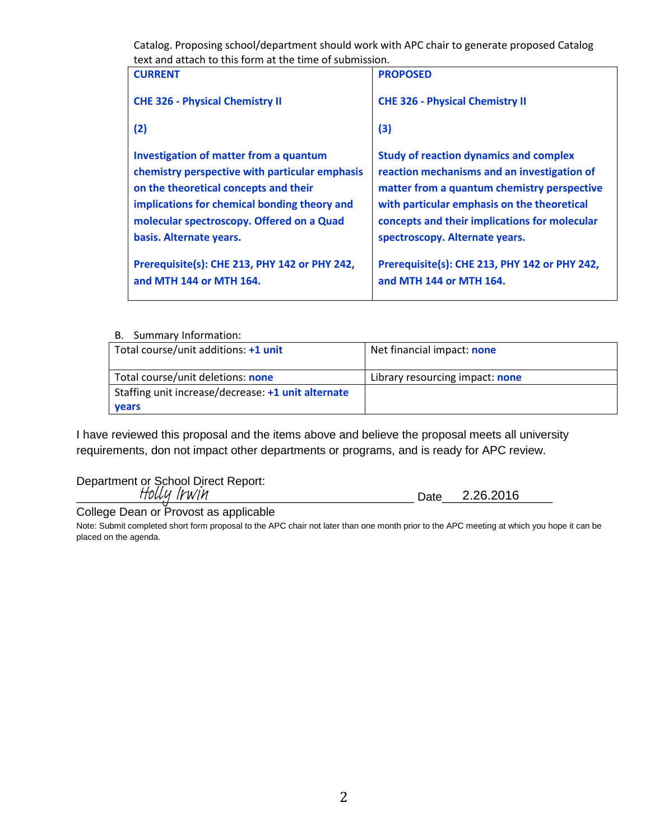Catalog. Proposing school/department should work with APC chair to generate proposed Catalog text and attach to this form at the time of submission.

| ical diiy qilduli loʻlilis Toffif qililic tirilc of sybifiissioli. |                                               |  |
|--------------------------------------------------------------------|-----------------------------------------------|--|
| <b>CURRENT</b>                                                     | <b>PROPOSED</b>                               |  |
| <b>CHE 326 - Physical Chemistry II</b>                             | <b>CHE 326 - Physical Chemistry II</b>        |  |
| (2)                                                                | (3)                                           |  |
| Investigation of matter from a quantum                             | <b>Study of reaction dynamics and complex</b> |  |
| chemistry perspective with particular emphasis                     | reaction mechanisms and an investigation of   |  |
| on the theoretical concepts and their                              | matter from a quantum chemistry perspective   |  |
| implications for chemical bonding theory and                       | with particular emphasis on the theoretical   |  |
| molecular spectroscopy. Offered on a Quad                          | concepts and their implications for molecular |  |
| basis. Alternate years.                                            | spectroscopy. Alternate years.                |  |
| Prerequisite(s): CHE 213, PHY 142 or PHY 242,                      | Prerequisite(s): CHE 213, PHY 142 or PHY 242, |  |
| and MTH 144 or MTH 164.                                            | and MTH 144 or MTH 164.                       |  |
|                                                                    |                                               |  |

B. Summary Information:

| <b>D.</b> Julianual valuttuuttuuttuutt             |                                 |
|----------------------------------------------------|---------------------------------|
| Total course/unit additions: +1 unit               | Net financial impact: none      |
| Total course/unit deletions: none                  | Library resourcing impact: none |
| Staffing unit increase/decrease: +1 unit alternate |                                 |
| <b>vears</b>                                       |                                 |

I have reviewed this proposal and the items above and believe the proposal meets all university requirements, don not impact other departments or programs, and is ready for APC review.

Department or School Direct Report:

\_\_\_\_\_\_\_\_\_\_\_\_\_\_\_\_\_\_\_\_\_\_\_\_\_\_\_\_\_\_\_\_\_\_\_\_\_\_\_\_\_\_\_\_\_\_\_\_\_\_\_\_ Date\_\_\_\_\_\_\_\_\_\_\_\_\_\_\_\_\_ Holly Irwin 2.26.2016

College Dean or Provost as applicable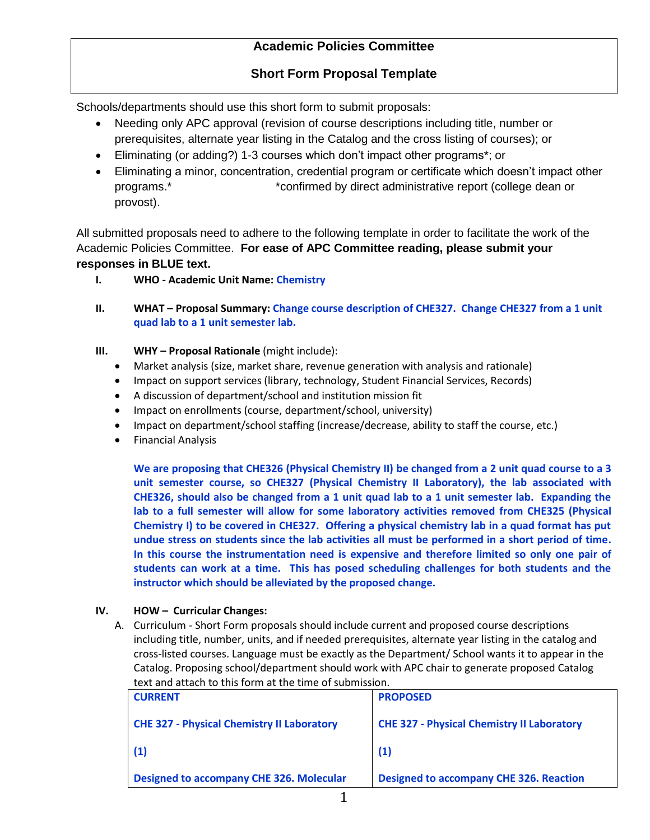## **Short Form Proposal Template**

Schools/departments should use this short form to submit proposals:

- Needing only APC approval (revision of course descriptions including title, number or prerequisites, alternate year listing in the Catalog and the cross listing of courses); or
- Eliminating (or adding?) 1-3 courses which don't impact other programs\*; or
- Eliminating a minor, concentration, credential program or certificate which doesn't impact other programs.\* \*confirmed by direct administrative report (college dean or provost).

All submitted proposals need to adhere to the following template in order to facilitate the work of the Academic Policies Committee. **For ease of APC Committee reading, please submit your responses in BLUE text.** 

- **I. WHO - Academic Unit Name: Chemistry**
- **II. WHAT – Proposal Summary: Change course description of CHE327. Change CHE327 from a 1 unit quad lab to a 1 unit semester lab.**
- **III. WHY – Proposal Rationale** (might include):
	- Market analysis (size, market share, revenue generation with analysis and rationale)
	- Impact on support services (library, technology, Student Financial Services, Records)
	- A discussion of department/school and institution mission fit
	- Impact on enrollments (course, department/school, university)
	- Impact on department/school staffing (increase/decrease, ability to staff the course, etc.)
	- **•** Financial Analysis

**We are proposing that CHE326 (Physical Chemistry II) be changed from a 2 unit quad course to a 3 unit semester course, so CHE327 (Physical Chemistry II Laboratory), the lab associated with CHE326, should also be changed from a 1 unit quad lab to a 1 unit semester lab. Expanding the lab to a full semester will allow for some laboratory activities removed from CHE325 (Physical Chemistry I) to be covered in CHE327. Offering a physical chemistry lab in a quad format has put undue stress on students since the lab activities all must be performed in a short period of time. In this course the instrumentation need is expensive and therefore limited so only one pair of students can work at a time. This has posed scheduling challenges for both students and the instructor which should be alleviated by the proposed change.**

### **IV. HOW – Curricular Changes:**

| <b>CURRENT</b>                                    | <b>PROPOSED</b>                                   |
|---------------------------------------------------|---------------------------------------------------|
| <b>CHE 327 - Physical Chemistry II Laboratory</b> | <b>CHE 327 - Physical Chemistry II Laboratory</b> |
| (1)                                               | (1)                                               |
| <b>Designed to accompany CHE 326. Molecular</b>   | <b>Designed to accompany CHE 326. Reaction</b>    |
|                                                   |                                                   |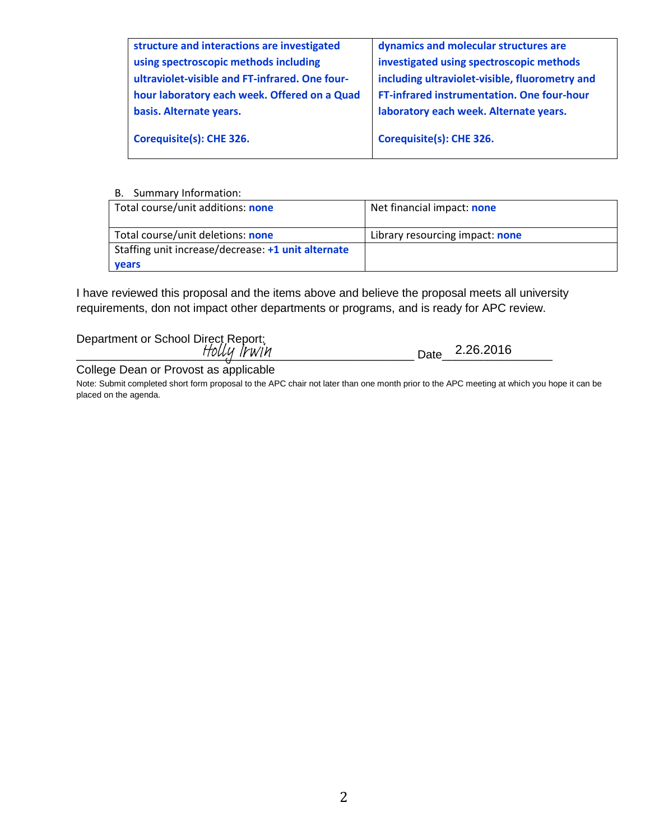| dynamics and molecular structures are          |
|------------------------------------------------|
| investigated using spectroscopic methods       |
| including ultraviolet-visible, fluorometry and |
| FT-infrared instrumentation. One four-hour     |
| laboratory each week. Alternate years.         |
| Corequisite(s): CHE 326.                       |
|                                                |

| Total course/unit additions: none                  | Net financial impact: none      |
|----------------------------------------------------|---------------------------------|
| Total course/unit deletions: none                  | Library resourcing impact: none |
| Staffing unit increase/decrease: +1 unit alternate |                                 |
| <b>vears</b>                                       |                                 |

I have reviewed this proposal and the items above and believe the proposal meets all university requirements, don not impact other departments or programs, and is ready for APC review.

Department or School Direct Report: \_\_\_\_\_\_\_\_\_\_\_\_\_\_\_\_\_\_\_\_\_\_\_\_\_\_\_\_\_\_\_\_\_\_\_\_\_\_\_\_\_\_\_\_\_\_\_\_\_\_\_\_ Date\_\_\_\_\_\_\_\_\_\_\_\_\_\_\_\_\_ 2.26.2016Holly Irwin

College Dean or Provost as applicable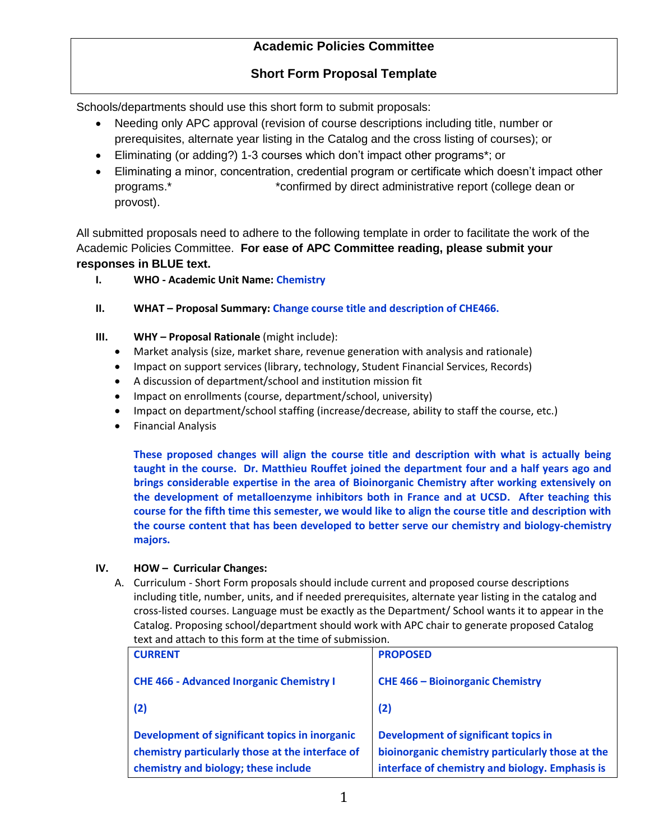# **Short Form Proposal Template**

Schools/departments should use this short form to submit proposals:

- Needing only APC approval (revision of course descriptions including title, number or prerequisites, alternate year listing in the Catalog and the cross listing of courses); or
- Eliminating (or adding?) 1-3 courses which don't impact other programs\*; or
- Eliminating a minor, concentration, credential program or certificate which doesn't impact other programs.\* \*confirmed by direct administrative report (college dean or provost).

All submitted proposals need to adhere to the following template in order to facilitate the work of the Academic Policies Committee. **For ease of APC Committee reading, please submit your responses in BLUE text.** 

- **I. WHO - Academic Unit Name: Chemistry**
- **II. WHAT – Proposal Summary: Change course title and description of CHE466.**
- **III. WHY – Proposal Rationale** (might include):
	- Market analysis (size, market share, revenue generation with analysis and rationale)
	- Impact on support services (library, technology, Student Financial Services, Records)
	- A discussion of department/school and institution mission fit
	- Impact on enrollments (course, department/school, university)
	- Impact on department/school staffing (increase/decrease, ability to staff the course, etc.)
	- **•** Financial Analysis

**These proposed changes will align the course title and description with what is actually being taught in the course. Dr. Matthieu Rouffet joined the department four and a half years ago and brings considerable expertise in the area of Bioinorganic Chemistry after working extensively on the development of metalloenzyme inhibitors both in France and at UCSD. After teaching this course for the fifth time this semester, we would like to align the course title and description with the course content that has been developed to better serve our chemistry and biology-chemistry majors.**

### **IV. HOW – Curricular Changes:**

| <b>CURRENT</b>                                                                                                                             | <b>PROPOSED</b>                                                                                                                                    |
|--------------------------------------------------------------------------------------------------------------------------------------------|----------------------------------------------------------------------------------------------------------------------------------------------------|
| <b>CHE 466 - Advanced Inorganic Chemistry I</b>                                                                                            | <b>CHE 466 - Bioinorganic Chemistry</b>                                                                                                            |
| (2)                                                                                                                                        | (2)                                                                                                                                                |
| Development of significant topics in inorganic<br>chemistry particularly those at the interface of<br>chemistry and biology; these include | <b>Development of significant topics in</b><br>bioinorganic chemistry particularly those at the<br>interface of chemistry and biology. Emphasis is |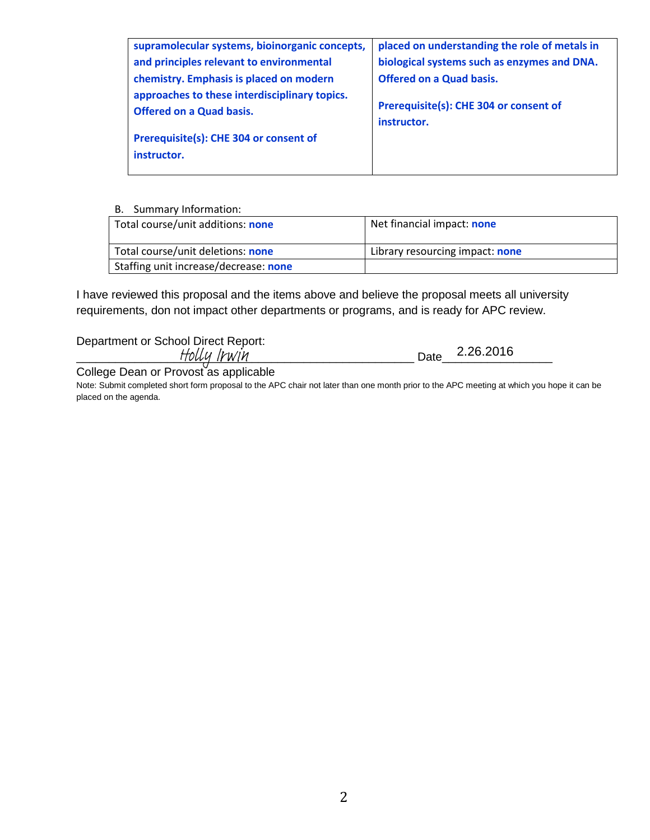| supramolecular systems, bioinorganic concepts,                                   | placed on understanding the role of metals in         |
|----------------------------------------------------------------------------------|-------------------------------------------------------|
| and principles relevant to environmental                                         | biological systems such as enzymes and DNA.           |
| chemistry. Emphasis is placed on modern                                          | <b>Offered on a Quad basis.</b>                       |
| approaches to these interdisciplinary topics.<br><b>Offered on a Quad basis.</b> | Prerequisite(s): CHE 304 or consent of<br>instructor. |
| Prerequisite(s): CHE 304 or consent of                                           |                                                       |
| instructor.                                                                      |                                                       |
|                                                                                  |                                                       |

| Total course/unit additions: none     | Net financial impact: none      |
|---------------------------------------|---------------------------------|
| Total course/unit deletions: none     | Library resourcing impact: none |
| Staffing unit increase/decrease: none |                                 |

I have reviewed this proposal and the items above and believe the proposal meets all university requirements, don not impact other departments or programs, and is ready for APC review.

Department or School Direct Report:

\_\_\_\_\_\_\_\_\_\_\_\_\_\_\_\_\_\_\_\_\_\_\_\_\_\_\_\_\_\_\_\_\_\_\_\_\_\_\_\_\_\_\_\_\_\_\_\_\_\_\_\_ Date\_\_\_\_\_\_\_\_\_\_\_\_\_\_\_\_\_ 2.26.2016

College Dean or Provost as applicable Holly Irwin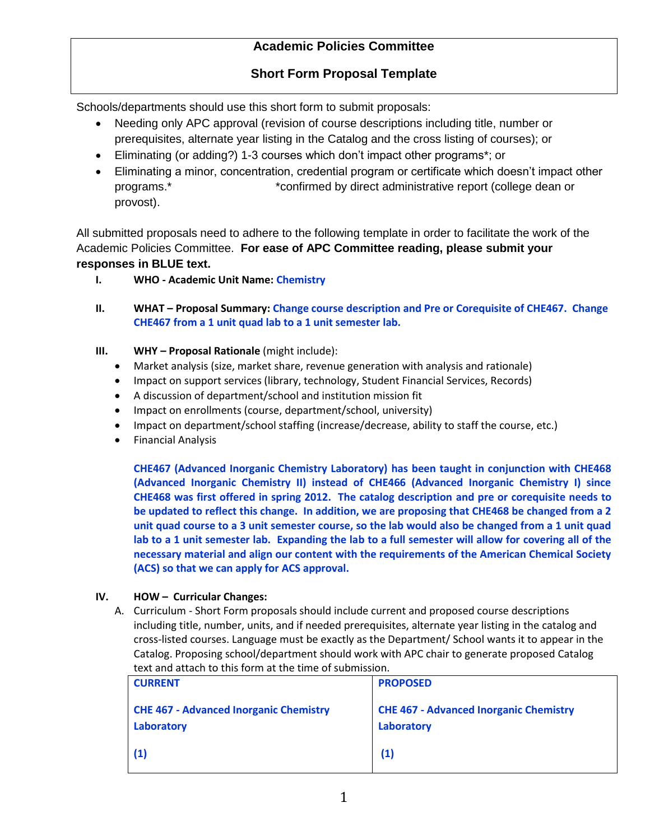## **Short Form Proposal Template**

Schools/departments should use this short form to submit proposals:

- Needing only APC approval (revision of course descriptions including title, number or prerequisites, alternate year listing in the Catalog and the cross listing of courses); or
- Eliminating (or adding?) 1-3 courses which don't impact other programs\*; or
- Eliminating a minor, concentration, credential program or certificate which doesn't impact other programs.\* \*confirmed by direct administrative report (college dean or provost).

All submitted proposals need to adhere to the following template in order to facilitate the work of the Academic Policies Committee. **For ease of APC Committee reading, please submit your responses in BLUE text.** 

- **I. WHO - Academic Unit Name: Chemistry**
- **II. WHAT – Proposal Summary: Change course description and Pre or Corequisite of CHE467. Change CHE467 from a 1 unit quad lab to a 1 unit semester lab.**
- **III. WHY – Proposal Rationale** (might include):
	- Market analysis (size, market share, revenue generation with analysis and rationale)
	- Impact on support services (library, technology, Student Financial Services, Records)
	- A discussion of department/school and institution mission fit
	- Impact on enrollments (course, department/school, university)
	- Impact on department/school staffing (increase/decrease, ability to staff the course, etc.)
	- **•** Financial Analysis

**CHE467 (Advanced Inorganic Chemistry Laboratory) has been taught in conjunction with CHE468 (Advanced Inorganic Chemistry II) instead of CHE466 (Advanced Inorganic Chemistry I) since CHE468 was first offered in spring 2012. The catalog description and pre or corequisite needs to be updated to reflect this change. In addition, we are proposing that CHE468 be changed from a 2 unit quad course to a 3 unit semester course, so the lab would also be changed from a 1 unit quad lab to a 1 unit semester lab. Expanding the lab to a full semester will allow for covering all of the necessary material and align our content with the requirements of the American Chemical Society (ACS) so that we can apply for ACS approval.**

### **IV. HOW – Curricular Changes:**

| <b>CURRENT</b>                                              | <b>PROPOSED</b>                                             |
|-------------------------------------------------------------|-------------------------------------------------------------|
| <b>CHE 467 - Advanced Inorganic Chemistry</b><br>Laboratory | <b>CHE 467 - Advanced Inorganic Chemistry</b><br>Laboratory |
| (1)                                                         | (1)                                                         |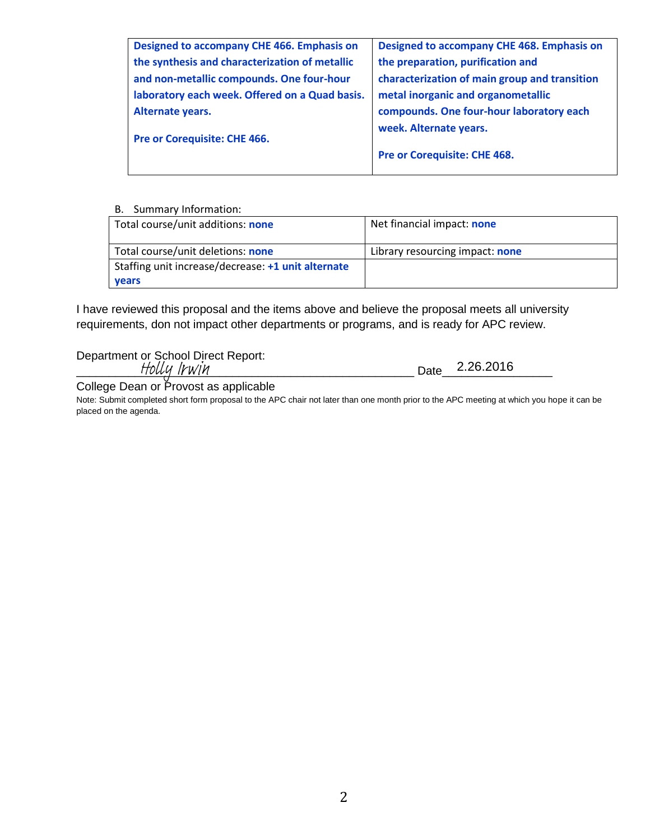| Designed to accompany CHE 466. Emphasis on     | Designed to accompany CHE 468. Emphasis on    |
|------------------------------------------------|-----------------------------------------------|
| the synthesis and characterization of metallic | the preparation, purification and             |
| and non-metallic compounds. One four-hour      | characterization of main group and transition |
| laboratory each week. Offered on a Quad basis. | metal inorganic and organometallic            |
| Alternate years.                               | compounds. One four-hour laboratory each      |
| Pre or Corequisite: CHE 466.                   | week. Alternate years.                        |
|                                                | Pre or Corequisite: CHE 468.                  |
|                                                |                                               |

| Total course/unit additions: none                  | Net financial impact: none      |
|----------------------------------------------------|---------------------------------|
| Total course/unit deletions: none                  | Library resourcing impact: none |
| Staffing unit increase/decrease: +1 unit alternate |                                 |
| <b>vears</b>                                       |                                 |

I have reviewed this proposal and the items above and believe the proposal meets all university requirements, don not impact other departments or programs, and is ready for APC review.

Department or School Direct Report:

\_\_\_\_\_\_\_\_\_\_\_\_\_\_\_\_\_\_\_\_\_\_\_\_\_\_\_\_\_\_\_\_\_\_\_\_\_\_\_\_\_\_\_\_\_\_\_\_\_\_\_\_ Date\_\_\_\_\_\_\_\_\_\_\_\_\_\_\_\_\_ 2.26.2016 Holly Irwin

College Dean or Provost as applicable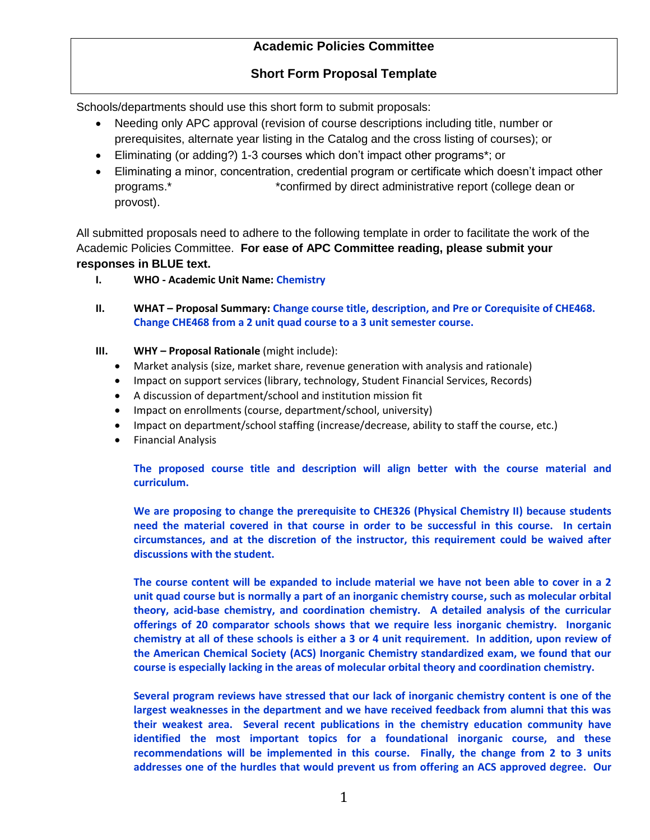## **Short Form Proposal Template**

Schools/departments should use this short form to submit proposals:

- Needing only APC approval (revision of course descriptions including title, number or prerequisites, alternate year listing in the Catalog and the cross listing of courses); or
- Eliminating (or adding?) 1-3 courses which don't impact other programs\*; or
- Eliminating a minor, concentration, credential program or certificate which doesn't impact other programs.\* \*confirmed by direct administrative report (college dean or provost).

All submitted proposals need to adhere to the following template in order to facilitate the work of the Academic Policies Committee. **For ease of APC Committee reading, please submit your responses in BLUE text.** 

- **I. WHO - Academic Unit Name: Chemistry**
- **II. WHAT – Proposal Summary: Change course title, description, and Pre or Corequisite of CHE468. Change CHE468 from a 2 unit quad course to a 3 unit semester course.**
- **III. WHY – Proposal Rationale** (might include):
	- Market analysis (size, market share, revenue generation with analysis and rationale)
	- Impact on support services (library, technology, Student Financial Services, Records)
	- A discussion of department/school and institution mission fit
	- Impact on enrollments (course, department/school, university)
	- Impact on department/school staffing (increase/decrease, ability to staff the course, etc.)
	- **•** Financial Analysis

**The proposed course title and description will align better with the course material and curriculum.**

**We are proposing to change the prerequisite to CHE326 (Physical Chemistry II) because students need the material covered in that course in order to be successful in this course. In certain circumstances, and at the discretion of the instructor, this requirement could be waived after discussions with the student.**

**The course content will be expanded to include material we have not been able to cover in a 2 unit quad course but is normally a part of an inorganic chemistry course, such as molecular orbital theory, acid-base chemistry, and coordination chemistry. A detailed analysis of the curricular offerings of 20 comparator schools shows that we require less inorganic chemistry. Inorganic chemistry at all of these schools is either a 3 or 4 unit requirement. In addition, upon review of the American Chemical Society (ACS) Inorganic Chemistry standardized exam, we found that our course is especially lacking in the areas of molecular orbital theory and coordination chemistry.** 

**Several program reviews have stressed that our lack of inorganic chemistry content is one of the largest weaknesses in the department and we have received feedback from alumni that this was their weakest area. Several recent publications in the chemistry education community have identified the most important topics for a foundational inorganic course, and these recommendations will be implemented in this course. Finally, the change from 2 to 3 units addresses one of the hurdles that would prevent us from offering an ACS approved degree. Our**